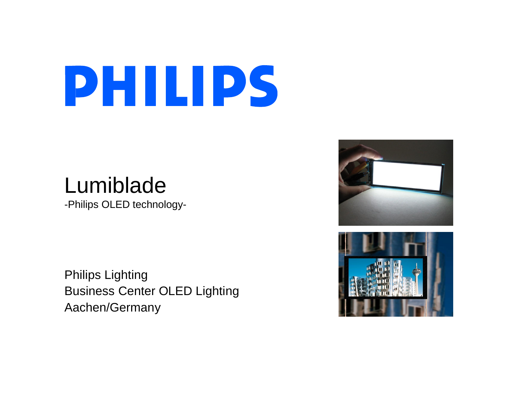## Lumiblade

-Philips OLED technology-

Philips Lighting Business Center OLED Lighting Aachen/Germany



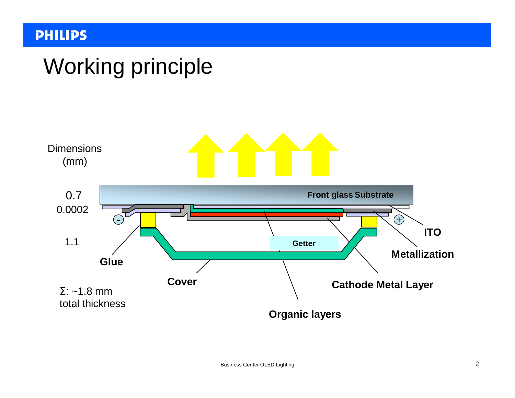## Working principle

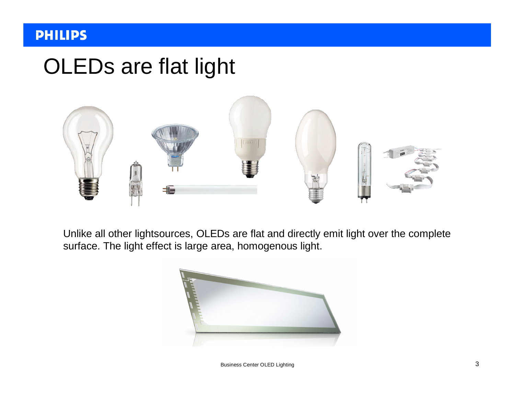## OLEDs are flat light



Unlike all other lightsources, OLEDs are flat and directly emit light over the complete surface. The light effect is large area, homogenous light.



Business Center OLED Lighting 3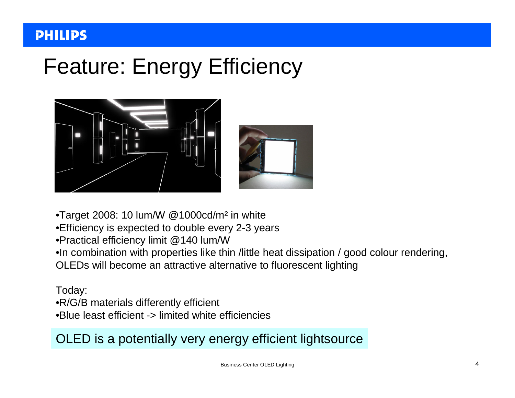## Feature: Energy Efficiency



- •Target 2008: 10 lum/W @1000cd/m² in white
- •Efficiency is expected to double every 2-3 years
- •Practical efficiency limit @140 lum/W
- •In combination with properties like thin /little heat dissipation / good colour rendering,
- OLEDs will become an attractive alternative to fluorescent lighting

#### Today:

- •R/G/B materials differently efficient
- •Blue least efficient -> limited white efficiencies

#### OLED is a potentially very energy efficient lightsource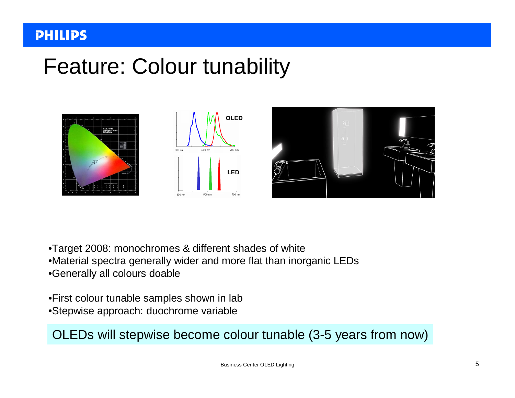## Feature: Colour tunability







- •Target 2008: monochromes & different shades of white
- •Material spectra generally wider and more flat than inorganic LEDs
- •Generally all colours doable
- •First colour tunable samples shown in lab •Stepwise approach: duochrome variable

OLEDs will stepwise become colour tunable (3-5 years from now)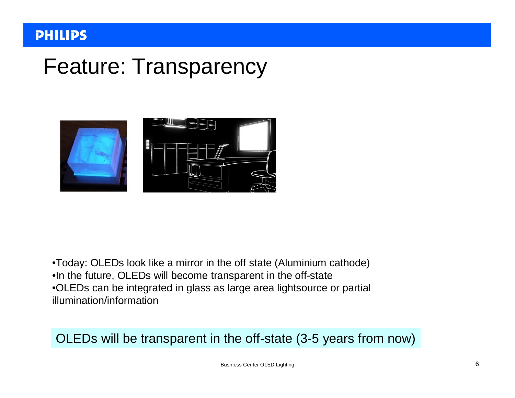## Feature: Transparency



•Today: OLEDs look like a mirror in the off state (Aluminium cathode) •In the future, OLEDs will become transparent in the off-state •OLEDs can be integrated in glass as large area lightsource or partial illumination/information

#### OLEDs will be transparent in the off-state (3-5 years from now)

Business Center OLED Lighting 6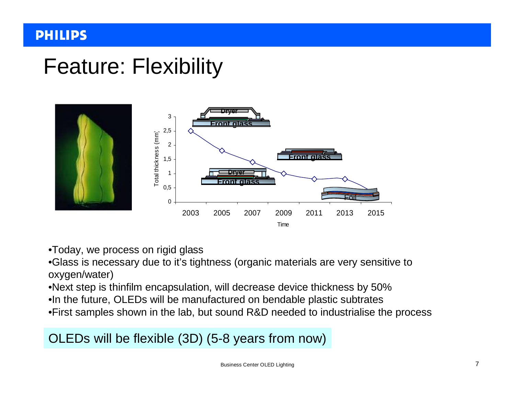## Feature: Flexibility



- •Today, we process on rigid glass
- •Glass is necessary due to it's tightness (organic materials are very sensitive to oxygen/water)
- •Next step is thinfilm encapsulation, will decrease device thickness by 50%
- •In the future, OLEDs will be manufactured on bendable plastic subtrates
- •First samples shown in the lab, but sound R&D needed to industrialise the process

OLEDs will be flexible (3D) (5-8 years from now)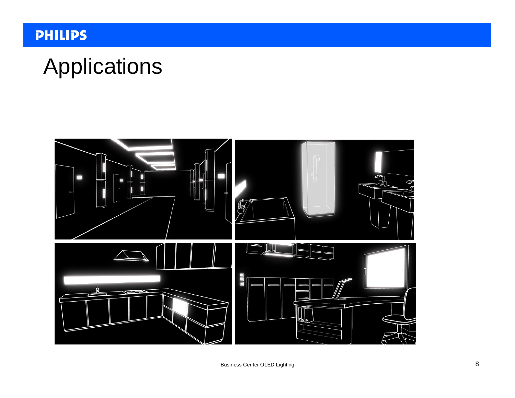## Applications

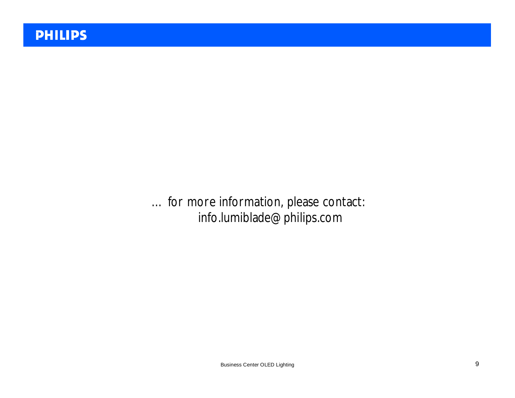… for more information, please contact: [info.lumiblade@philips.com](mailto:info.lumiblade@philips.com)